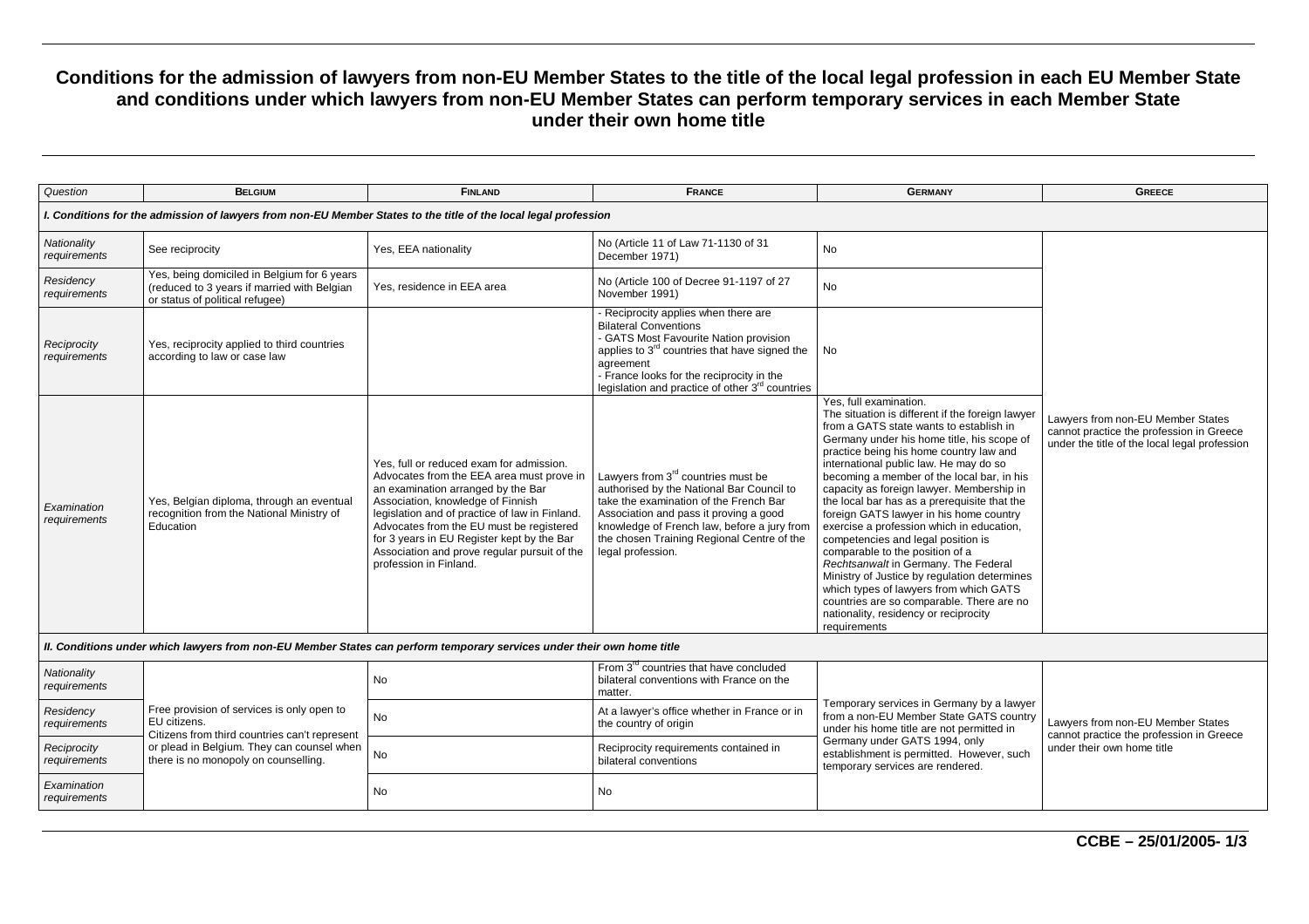## **Conditions for the admission of lawyers from non-EU Member States to the title of the local legal profession in each EU Member State and conditions under which lawyers from non-EU Member States can perform temporary services in each Member State under their own home title**

| Question                                                                                                               | <b>BELGIUM</b>                                                                                                                                                                                    | <b>FINLAND</b>                                                                                                                                                                                                                                                                                                                                                                         | <b>FRANCE</b>                                                                                                                                                                                                                                                                                      | <b>GERMANY</b>                                                                                                                                                                                                                                                                                                                                                                                                                                                                                                                                                                                                                                                                                                                                                                                               | <b>GREECE</b>                                                                                                                  |  |  |
|------------------------------------------------------------------------------------------------------------------------|---------------------------------------------------------------------------------------------------------------------------------------------------------------------------------------------------|----------------------------------------------------------------------------------------------------------------------------------------------------------------------------------------------------------------------------------------------------------------------------------------------------------------------------------------------------------------------------------------|----------------------------------------------------------------------------------------------------------------------------------------------------------------------------------------------------------------------------------------------------------------------------------------------------|--------------------------------------------------------------------------------------------------------------------------------------------------------------------------------------------------------------------------------------------------------------------------------------------------------------------------------------------------------------------------------------------------------------------------------------------------------------------------------------------------------------------------------------------------------------------------------------------------------------------------------------------------------------------------------------------------------------------------------------------------------------------------------------------------------------|--------------------------------------------------------------------------------------------------------------------------------|--|--|
| I. Conditions for the admission of lawyers from non-EU Member States to the title of the local legal profession        |                                                                                                                                                                                                   |                                                                                                                                                                                                                                                                                                                                                                                        |                                                                                                                                                                                                                                                                                                    |                                                                                                                                                                                                                                                                                                                                                                                                                                                                                                                                                                                                                                                                                                                                                                                                              |                                                                                                                                |  |  |
| Nationality<br>requirements                                                                                            | See reciprocity                                                                                                                                                                                   | Yes, EEA nationality                                                                                                                                                                                                                                                                                                                                                                   | No (Article 11 of Law 71-1130 of 31<br>December 1971)                                                                                                                                                                                                                                              | No                                                                                                                                                                                                                                                                                                                                                                                                                                                                                                                                                                                                                                                                                                                                                                                                           |                                                                                                                                |  |  |
| Residency<br>requirements                                                                                              | Yes, being domiciled in Belgium for 6 years<br>(reduced to 3 years if married with Belgian<br>or status of political refugee)                                                                     | Yes, residence in EEA area                                                                                                                                                                                                                                                                                                                                                             | No (Article 100 of Decree 91-1197 of 27<br>November 1991)                                                                                                                                                                                                                                          | No.                                                                                                                                                                                                                                                                                                                                                                                                                                                                                                                                                                                                                                                                                                                                                                                                          |                                                                                                                                |  |  |
| Reciprocity<br>requirements                                                                                            | Yes, reciprocity applied to third countries<br>according to law or case law                                                                                                                       |                                                                                                                                                                                                                                                                                                                                                                                        | Reciprocity applies when there are<br><b>Bilateral Conventions</b><br>- GATS Most Favourite Nation provision<br>applies to 3 <sup>rd</sup> countries that have signed the<br>agreement<br>- France looks for the reciprocity in the<br>legislation and practice of other 3 <sup>rd</sup> countries | No                                                                                                                                                                                                                                                                                                                                                                                                                                                                                                                                                                                                                                                                                                                                                                                                           |                                                                                                                                |  |  |
| Examination<br>requirements                                                                                            | Yes, Belgian diploma, through an eventual<br>recognition from the National Ministry of<br>Education                                                                                               | Yes, full or reduced exam for admission.<br>Advocates from the EEA area must prove in<br>an examination arranged by the Bar<br>Association, knowledge of Finnish<br>legislation and of practice of law in Finland.<br>Advocates from the EU must be registered<br>for 3 years in EU Register kept by the Bar<br>Association and prove regular pursuit of the<br>profession in Finland. | Lawyers from 3 <sup>rd</sup> countries must be<br>authorised by the National Bar Council to<br>take the examination of the French Bar<br>Association and pass it proving a good<br>knowledge of French law, before a jury from<br>the chosen Training Regional Centre of the<br>legal profession.  | Yes, full examination.<br>The situation is different if the foreign lawyer<br>from a GATS state wants to establish in<br>Germany under his home title, his scope of<br>practice being his home country law and<br>international public law. He may do so<br>becoming a member of the local bar, in his<br>capacity as foreign lawyer. Membership in<br>the local bar has as a prerequisite that the<br>foreign GATS lawyer in his home country<br>exercise a profession which in education,<br>competencies and legal position is<br>comparable to the position of a<br>Rechtsanwalt in Germany. The Federal<br>Ministry of Justice by regulation determines<br>which types of lawyers from which GATS<br>countries are so comparable. There are no<br>nationality, residency or reciprocity<br>requirements | Lawyers from non-EU Member States<br>cannot practice the profession in Greece<br>under the title of the local legal profession |  |  |
| II. Conditions under which lawyers from non-EU Member States can perform temporary services under their own home title |                                                                                                                                                                                                   |                                                                                                                                                                                                                                                                                                                                                                                        |                                                                                                                                                                                                                                                                                                    |                                                                                                                                                                                                                                                                                                                                                                                                                                                                                                                                                                                                                                                                                                                                                                                                              |                                                                                                                                |  |  |
| Nationality<br>requirements                                                                                            | Free provision of services is only open to<br>EU citizens.<br>Citizens from third countries can't represent<br>or plead in Belgium. They can counsel when<br>there is no monopoly on counselling. | <b>No</b>                                                                                                                                                                                                                                                                                                                                                                              | From 3 <sup>rd</sup> countries that have concluded<br>bilateral conventions with France on the<br>matter.                                                                                                                                                                                          | Temporary services in Germany by a lawyer<br>from a non-EU Member State GATS country<br>under his home title are not permitted in<br>Germany under GATS 1994, only<br>establishment is permitted. However, such<br>temporary services are rendered.                                                                                                                                                                                                                                                                                                                                                                                                                                                                                                                                                          | Lawyers from non-EU Member States<br>cannot practice the profession in Greece<br>under their own home title                    |  |  |
| Residency<br>requirements                                                                                              |                                                                                                                                                                                                   | <b>No</b>                                                                                                                                                                                                                                                                                                                                                                              | At a lawyer's office whether in France or in<br>the country of origin                                                                                                                                                                                                                              |                                                                                                                                                                                                                                                                                                                                                                                                                                                                                                                                                                                                                                                                                                                                                                                                              |                                                                                                                                |  |  |
| Reciprocity<br>requirements                                                                                            |                                                                                                                                                                                                   | <b>No</b>                                                                                                                                                                                                                                                                                                                                                                              | Reciprocity requirements contained in<br>bilateral conventions                                                                                                                                                                                                                                     |                                                                                                                                                                                                                                                                                                                                                                                                                                                                                                                                                                                                                                                                                                                                                                                                              |                                                                                                                                |  |  |
| Examination<br>requirements                                                                                            |                                                                                                                                                                                                   | <b>No</b>                                                                                                                                                                                                                                                                                                                                                                              | No                                                                                                                                                                                                                                                                                                 |                                                                                                                                                                                                                                                                                                                                                                                                                                                                                                                                                                                                                                                                                                                                                                                                              |                                                                                                                                |  |  |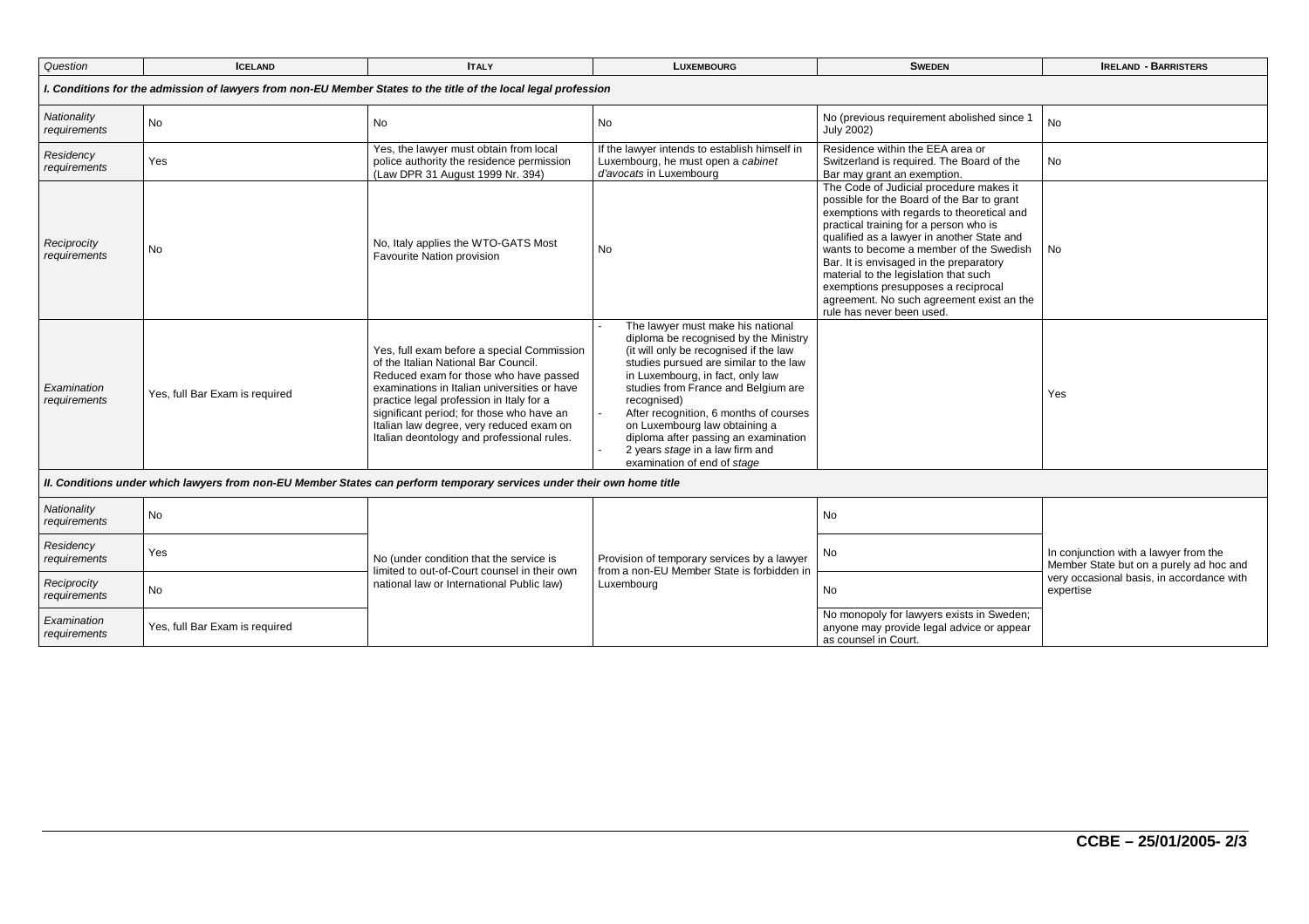| Question                                                                                                               | <b>ICELAND</b>                 | <b>ITALY</b>                                                                                                                                                                                                                                                                                                                                                    | <b>LUXEMBOURG</b>                                                                                                                                                                                                                                                                                                                                                                                                                                       | <b>SWEDEN</b>                                                                                                                                                                                                                                                                                                                                                                                                                                                               | <b>IRELAND - BARRISTERS</b>                                                                                                                |  |  |
|------------------------------------------------------------------------------------------------------------------------|--------------------------------|-----------------------------------------------------------------------------------------------------------------------------------------------------------------------------------------------------------------------------------------------------------------------------------------------------------------------------------------------------------------|---------------------------------------------------------------------------------------------------------------------------------------------------------------------------------------------------------------------------------------------------------------------------------------------------------------------------------------------------------------------------------------------------------------------------------------------------------|-----------------------------------------------------------------------------------------------------------------------------------------------------------------------------------------------------------------------------------------------------------------------------------------------------------------------------------------------------------------------------------------------------------------------------------------------------------------------------|--------------------------------------------------------------------------------------------------------------------------------------------|--|--|
| I. Conditions for the admission of lawyers from non-EU Member States to the title of the local legal profession        |                                |                                                                                                                                                                                                                                                                                                                                                                 |                                                                                                                                                                                                                                                                                                                                                                                                                                                         |                                                                                                                                                                                                                                                                                                                                                                                                                                                                             |                                                                                                                                            |  |  |
| Nationality<br>requirements                                                                                            | No                             | <b>No</b>                                                                                                                                                                                                                                                                                                                                                       | No                                                                                                                                                                                                                                                                                                                                                                                                                                                      | No (previous requirement abolished since 1<br><b>July 2002)</b>                                                                                                                                                                                                                                                                                                                                                                                                             | No                                                                                                                                         |  |  |
| Residency<br>requirements                                                                                              | Yes                            | Yes, the lawyer must obtain from local<br>police authority the residence permission<br>(Law DPR 31 August 1999 Nr. 394)                                                                                                                                                                                                                                         | If the lawyer intends to establish himself in<br>Luxembourg, he must open a cabinet<br>d'avocats in Luxembourg                                                                                                                                                                                                                                                                                                                                          | Residence within the EEA area or<br>Switzerland is required. The Board of the<br>Bar may grant an exemption.                                                                                                                                                                                                                                                                                                                                                                | No                                                                                                                                         |  |  |
| Reciprocity<br>requirements                                                                                            | <b>No</b>                      | No, Italy applies the WTO-GATS Most<br>Favourite Nation provision                                                                                                                                                                                                                                                                                               | <b>No</b>                                                                                                                                                                                                                                                                                                                                                                                                                                               | The Code of Judicial procedure makes it<br>possible for the Board of the Bar to grant<br>exemptions with regards to theoretical and<br>practical training for a person who is<br>qualified as a lawyer in another State and<br>wants to become a member of the Swedish<br>Bar. It is envisaged in the preparatory<br>material to the legislation that such<br>exemptions presupposes a reciprocal<br>agreement. No such agreement exist an the<br>rule has never been used. | <b>No</b>                                                                                                                                  |  |  |
| Examination<br>requirements                                                                                            | Yes, full Bar Exam is required | Yes, full exam before a special Commission<br>of the Italian National Bar Council.<br>Reduced exam for those who have passed<br>examinations in Italian universities or have<br>practice legal profession in Italy for a<br>significant period; for those who have an<br>Italian law degree, very reduced exam on<br>Italian deontology and professional rules. | The lawyer must make his national<br>diploma be recognised by the Ministry<br>(it will only be recognised if the law<br>studies pursued are similar to the law<br>in Luxembourg, in fact, only law<br>studies from France and Belgium are<br>recognised)<br>After recognition, 6 months of courses<br>on Luxembourg law obtaining a<br>diploma after passing an examination<br>2 years stage in a law firm and<br>$\sim$<br>examination of end of stage |                                                                                                                                                                                                                                                                                                                                                                                                                                                                             | Yes                                                                                                                                        |  |  |
| II. Conditions under which lawyers from non-EU Member States can perform temporary services under their own home title |                                |                                                                                                                                                                                                                                                                                                                                                                 |                                                                                                                                                                                                                                                                                                                                                                                                                                                         |                                                                                                                                                                                                                                                                                                                                                                                                                                                                             |                                                                                                                                            |  |  |
| Nationality<br>requirements                                                                                            | No                             | No (under condition that the service is<br>limited to out-of-Court counsel in their own<br>national law or International Public law)                                                                                                                                                                                                                            | Provision of temporary services by a lawyer<br>from a non-EU Member State is forbidden in<br>Luxembourg                                                                                                                                                                                                                                                                                                                                                 | No                                                                                                                                                                                                                                                                                                                                                                                                                                                                          |                                                                                                                                            |  |  |
| Residency<br>requirements                                                                                              | Yes                            |                                                                                                                                                                                                                                                                                                                                                                 |                                                                                                                                                                                                                                                                                                                                                                                                                                                         | No                                                                                                                                                                                                                                                                                                                                                                                                                                                                          | In conjunction with a lawyer from the<br>Member State but on a purely ad hoc and<br>very occasional basis, in accordance with<br>expertise |  |  |
| Reciprocity<br>requirements                                                                                            | No.                            |                                                                                                                                                                                                                                                                                                                                                                 |                                                                                                                                                                                                                                                                                                                                                                                                                                                         | No                                                                                                                                                                                                                                                                                                                                                                                                                                                                          |                                                                                                                                            |  |  |
| Examination<br>requirements                                                                                            | Yes, full Bar Exam is required |                                                                                                                                                                                                                                                                                                                                                                 |                                                                                                                                                                                                                                                                                                                                                                                                                                                         | No monopoly for lawyers exists in Sweden;<br>anyone may provide legal advice or appear<br>as counsel in Court.                                                                                                                                                                                                                                                                                                                                                              |                                                                                                                                            |  |  |